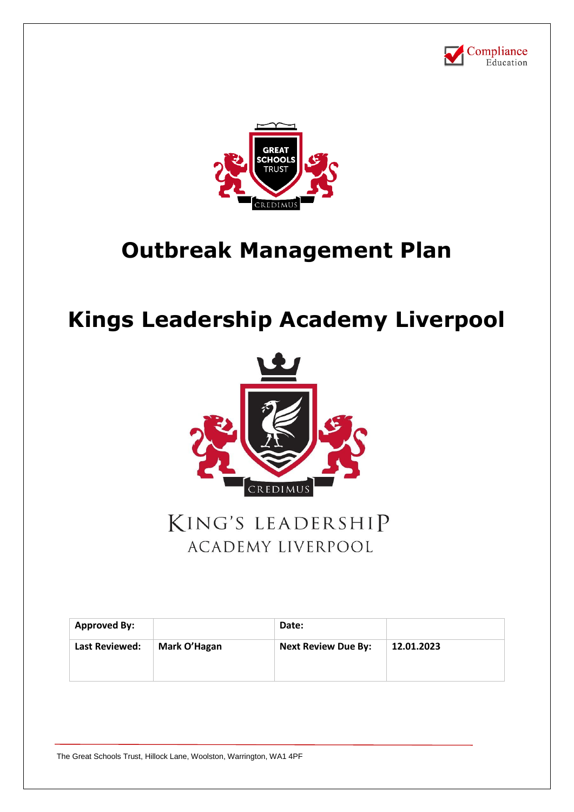



# **Outbreak Management Plan**

# **Kings Leadership Academy Liverpool**



## KING'S LEADERSHIP **ACADEMY LIVERPOOL**

| <b>Approved By:</b>   |              | Date:                      |            |
|-----------------------|--------------|----------------------------|------------|
| <b>Last Reviewed:</b> | Mark O'Hagan | <b>Next Review Due By:</b> | 12.01.2023 |
|                       |              |                            |            |

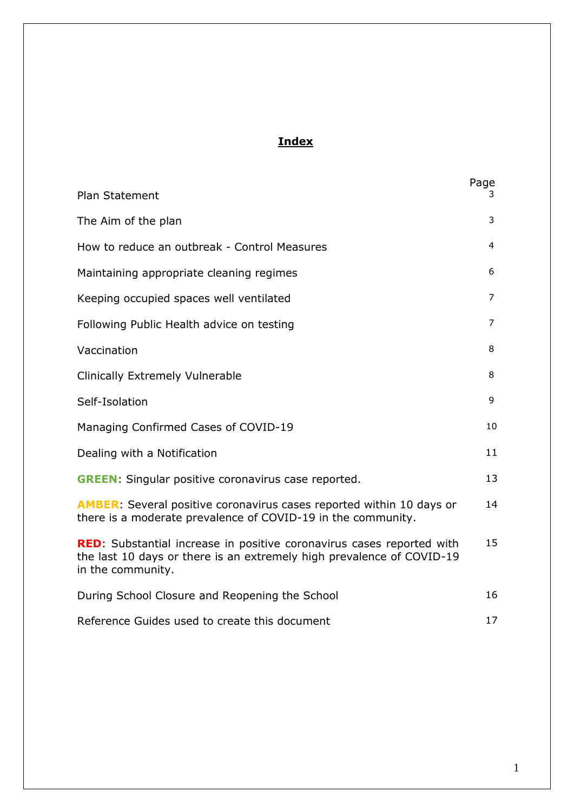## **Index**

| <b>Plan Statement</b>                                                                                                                                                      | Page<br>3 |  |
|----------------------------------------------------------------------------------------------------------------------------------------------------------------------------|-----------|--|
| The Aim of the plan                                                                                                                                                        | 3         |  |
| How to reduce an outbreak - Control Measures                                                                                                                               | 4         |  |
| Maintaining appropriate cleaning regimes                                                                                                                                   | 6         |  |
| Keeping occupied spaces well ventilated                                                                                                                                    | 7         |  |
| Following Public Health advice on testing                                                                                                                                  | 7         |  |
| Vaccination                                                                                                                                                                | 8         |  |
| <b>Clinically Extremely Vulnerable</b>                                                                                                                                     | 8         |  |
| Self-Isolation                                                                                                                                                             | 9         |  |
| Managing Confirmed Cases of COVID-19                                                                                                                                       | 10        |  |
| Dealing with a Notification                                                                                                                                                |           |  |
| <b>GREEN:</b> Singular positive coronavirus case reported.                                                                                                                 | 13        |  |
| <b>AMBER:</b> Several positive coronavirus cases reported within 10 days or<br>there is a moderate prevalence of COVID-19 in the community.                                |           |  |
| <b>RED:</b> Substantial increase in positive coronavirus cases reported with<br>the last 10 days or there is an extremely high prevalence of COVID-19<br>in the community. |           |  |
| During School Closure and Reopening the School                                                                                                                             | 16        |  |
| Reference Guides used to create this document                                                                                                                              |           |  |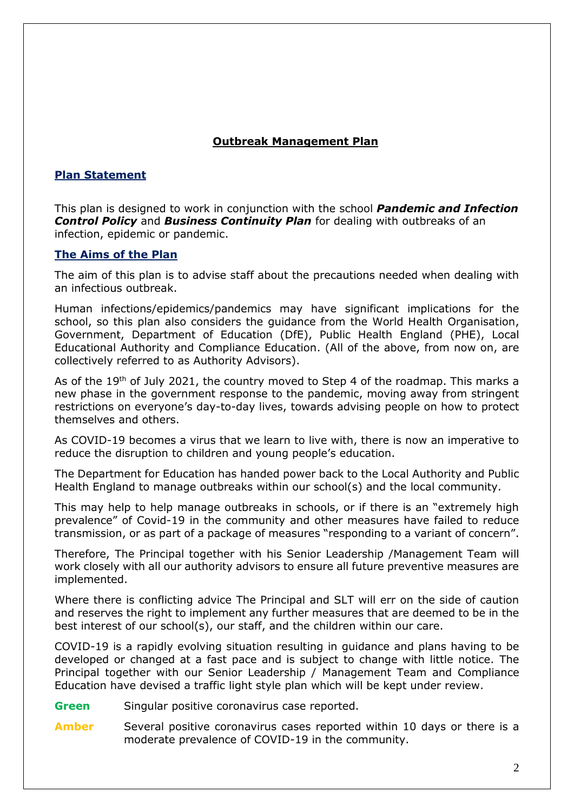## **Outbreak Management Plan**

## **Plan Statement**

This plan is designed to work in conjunction with the school *Pandemic and Infection Control Policy* and *Business Continuity Plan* for dealing with outbreaks of an infection, epidemic or pandemic.

## **The Aims of the Plan**

The aim of this plan is to advise staff about the precautions needed when dealing with an infectious outbreak.

Human infections/epidemics/pandemics may have significant implications for the school, so this plan also considers the guidance from the World Health Organisation, Government, Department of Education (DfE), Public Health England (PHE), Local Educational Authority and Compliance Education. (All of the above, from now on, are collectively referred to as Authority Advisors).

As of the 19<sup>th</sup> of July 2021, the country moved to Step 4 of the roadmap. This marks a new phase in the government response to the pandemic, moving away from stringent restrictions on everyone's day-to-day lives, towards advising people on how to protect themselves and others.

As COVID-19 becomes a virus that we learn to live with, there is now an imperative to reduce the disruption to children and young people's education.

The Department for Education has handed power back to the Local Authority and Public Health England to manage outbreaks within our school(s) and the local community.

This may help to help manage outbreaks in schools, or if there is an "extremely high prevalence" of Covid-19 in the community and other measures have failed to reduce transmission, or as part of a package of measures "responding to a variant of concern".

Therefore, The Principal together with his Senior Leadership /Management Team will work closely with all our authority advisors to ensure all future preventive measures are implemented.

Where there is conflicting advice The Principal and SLT will err on the side of caution and reserves the right to implement any further measures that are deemed to be in the best interest of our school(s), our staff, and the children within our care.

COVID-19 is a rapidly evolving situation resulting in guidance and plans having to be developed or changed at a fast pace and is subject to change with little notice. The Principal together with our Senior Leadership / Management Team and Compliance Education have devised a traffic light style plan which will be kept under review.

- **Green** Singular positive coronavirus case reported.
- **Amber** Several positive coronavirus cases reported within 10 days or there is a moderate prevalence of COVID-19 in the community.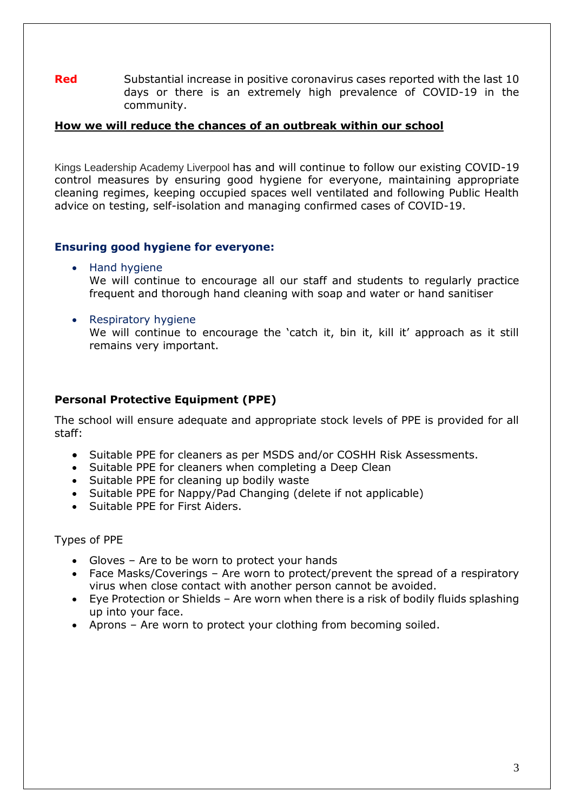**Red** Substantial increase in positive coronavirus cases reported with the last 10 days or there is an extremely high prevalence of COVID-19 in the community.

#### **How we will reduce the chances of an outbreak within our school**

Kings Leadership Academy Liverpool has and will continue to follow our existing COVID-19 control measures by ensuring good hygiene for everyone, maintaining appropriate cleaning regimes, keeping occupied spaces well ventilated and following Public Health advice on testing, self-isolation and managing confirmed cases of COVID-19.

## **Ensuring good hygiene for everyone:**

- Hand hygiene We will continue to encourage all our staff and students to regularly practice frequent and thorough hand cleaning with soap and water or hand sanitiser
- Respiratory hygiene We will continue to encourage the 'catch it, bin it, kill it' approach as it still remains very important.

## **Personal Protective Equipment (PPE)**

The school will ensure adequate and appropriate stock levels of PPE is provided for all staff:

- Suitable PPE for cleaners as per MSDS and/or COSHH Risk Assessments.
- Suitable PPE for cleaners when completing a Deep Clean
- Suitable PPE for cleaning up bodily waste
- Suitable PPE for Nappy/Pad Changing (delete if not applicable)
- Suitable PPE for First Aiders.

Types of PPE

- Gloves Are to be worn to protect your hands
- Face Masks/Coverings Are worn to protect/prevent the spread of a respiratory virus when close contact with another person cannot be avoided.
- Eye Protection or Shields Are worn when there is a risk of bodily fluids splashing up into your face.
- Aprons Are worn to protect your clothing from becoming soiled.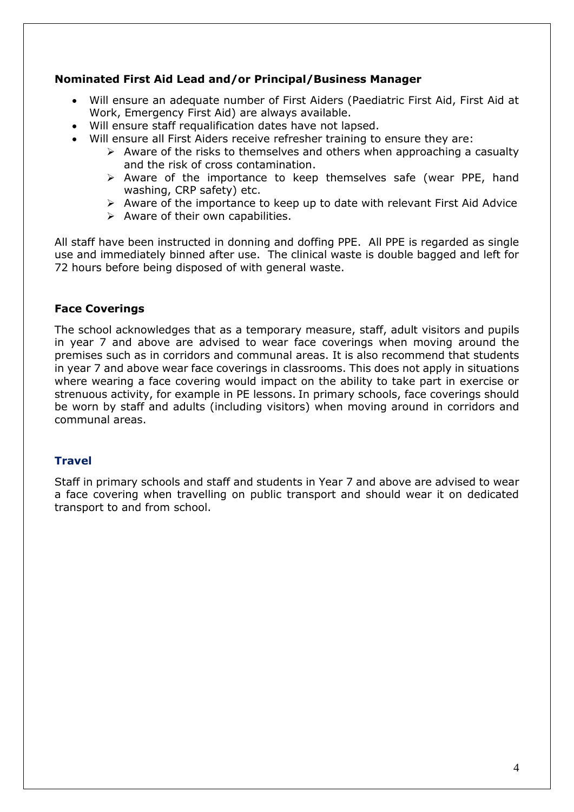## **Nominated First Aid Lead and/or Principal/Business Manager**

- Will ensure an adequate number of First Aiders (Paediatric First Aid, First Aid at Work, Emergency First Aid) are always available.
- Will ensure staff requalification dates have not lapsed.
- Will ensure all First Aiders receive refresher training to ensure they are:
	- $\triangleright$  Aware of the risks to themselves and others when approaching a casualty and the risk of cross contamination.
	- ➢ Aware of the importance to keep themselves safe (wear PPE, hand washing, CRP safety) etc.
	- ➢ Aware of the importance to keep up to date with relevant First Aid Advice
	- $\triangleright$  Aware of their own capabilities.

All staff have been instructed in donning and doffing PPE. All PPE is regarded as single use and immediately binned after use. The clinical waste is double bagged and left for 72 hours before being disposed of with general waste.

## **Face Coverings**

The school acknowledges that as a temporary measure, staff, adult visitors and pupils in year 7 and above are advised to wear face coverings when moving around the premises such as in corridors and communal areas. It is also recommend that students in year 7 and above wear face coverings in classrooms. This does not apply in situations where wearing a face covering would impact on the ability to take part in exercise or strenuous activity, for example in PE lessons. In primary schools, face coverings should be worn by staff and adults (including visitors) when moving around in corridors and communal areas.

## **Travel**

Staff in primary schools and staff and students in Year 7 and above are advised to wear a face covering when travelling on public transport and should wear it on dedicated transport to and from school.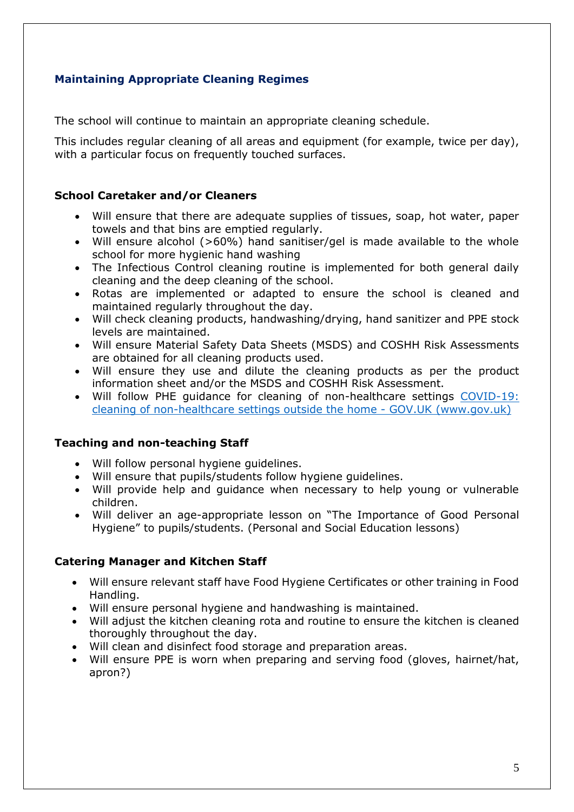## **Maintaining Appropriate Cleaning Regimes**

The school will continue to maintain an appropriate cleaning schedule.

This includes regular cleaning of all areas and equipment (for example, twice per day), with a particular focus on frequently touched surfaces.

## **School Caretaker and/or Cleaners**

- Will ensure that there are adequate supplies of tissues, soap, hot water, paper towels and that bins are emptied regularly.
- Will ensure alcohol (>60%) hand sanitiser/gel is made available to the whole school for more hygienic hand washing
- The Infectious Control cleaning routine is implemented for both general daily cleaning and the deep cleaning of the school.
- Rotas are implemented or adapted to ensure the school is cleaned and maintained regularly throughout the day.
- Will check cleaning products, handwashing/drying, hand sanitizer and PPE stock levels are maintained.
- Will ensure Material Safety Data Sheets (MSDS) and COSHH Risk Assessments are obtained for all cleaning products used.
- Will ensure they use and dilute the cleaning products as per the product information sheet and/or the MSDS and COSHH Risk Assessment.
- Will follow PHE guidance for cleaning of non-healthcare settings [COVID-19:](https://www.gov.uk/government/publications/covid-19-decontamination-in-non-healthcare-settings)  [cleaning of non-healthcare settings outside the home -](https://www.gov.uk/government/publications/covid-19-decontamination-in-non-healthcare-settings) GOV.UK (www.gov.uk)

## **Teaching and non-teaching Staff**

- Will follow personal hygiene guidelines.
- Will ensure that pupils/students follow hygiene guidelines.
- Will provide help and guidance when necessary to help young or vulnerable children.
- Will deliver an age-appropriate lesson on "The Importance of Good Personal Hygiene" to pupils/students. (Personal and Social Education lessons)

## **Catering Manager and Kitchen Staff**

- Will ensure relevant staff have Food Hygiene Certificates or other training in Food Handling.
- Will ensure personal hygiene and handwashing is maintained.
- Will adjust the kitchen cleaning rota and routine to ensure the kitchen is cleaned thoroughly throughout the day.
- Will clean and disinfect food storage and preparation areas.
- Will ensure PPE is worn when preparing and serving food (gloves, hairnet/hat, apron?)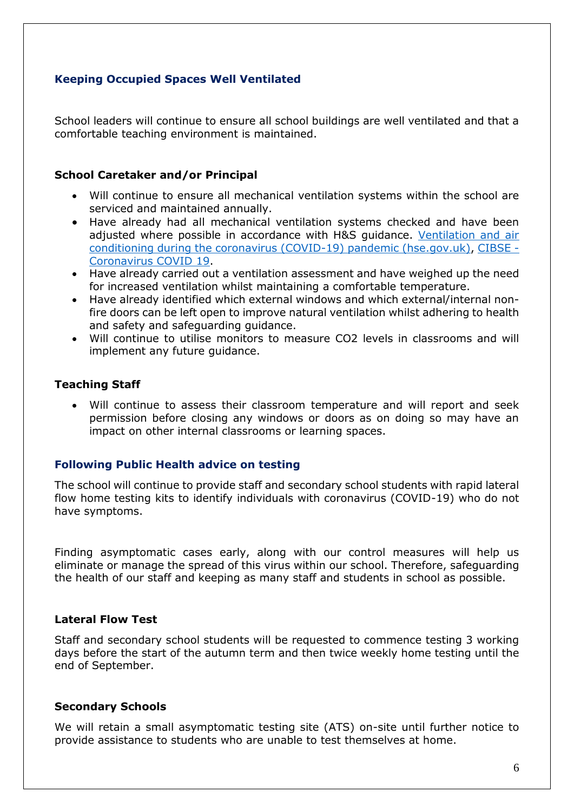## **Keeping Occupied Spaces Well Ventilated**

School leaders will continue to ensure all school buildings are well ventilated and that a comfortable teaching environment is maintained.

#### **School Caretaker and/or Principal**

- Will continue to ensure all mechanical ventilation systems within the school are serviced and maintained annually.
- Have already had all mechanical ventilation systems checked and have been adjusted where possible in accordance with H&S guidance. [Ventilation and air](https://www.hse.gov.uk/coronavirus/equipment-and-machinery/air-conditioning-and-ventilation/index.htm)  [conditioning during the coronavirus \(COVID-19\) pandemic \(hse.gov.uk\),](https://www.hse.gov.uk/coronavirus/equipment-and-machinery/air-conditioning-and-ventilation/index.htm) [CIBSE -](https://www.cibse.org/coronavirus-covid-19) [Coronavirus COVID 19.](https://www.cibse.org/coronavirus-covid-19)
- Have already carried out a ventilation assessment and have weighed up the need for increased ventilation whilst maintaining a comfortable temperature.
- Have already identified which external windows and which external/internal nonfire doors can be left open to improve natural ventilation whilst adhering to health and safety and safeguarding guidance.
- Will continue to utilise monitors to measure CO2 levels in classrooms and will implement any future guidance.

#### **Teaching Staff**

• Will continue to assess their classroom temperature and will report and seek permission before closing any windows or doors as on doing so may have an impact on other internal classrooms or learning spaces.

## **Following Public Health advice on testing**

The school will continue to provide staff and secondary school students with rapid lateral flow home testing kits to identify individuals with coronavirus (COVID-19) who do not have symptoms.

Finding asymptomatic cases early, along with our control measures will help us eliminate or manage the spread of this virus within our school. Therefore, safeguarding the health of our staff and keeping as many staff and students in school as possible.

#### **Lateral Flow Test**

Staff and secondary school students will be requested to commence testing 3 working days before the start of the autumn term and then twice weekly home testing until the end of September.

#### **Secondary Schools**

We will retain a small asymptomatic testing site (ATS) on-site until further notice to provide assistance to students who are unable to test themselves at home.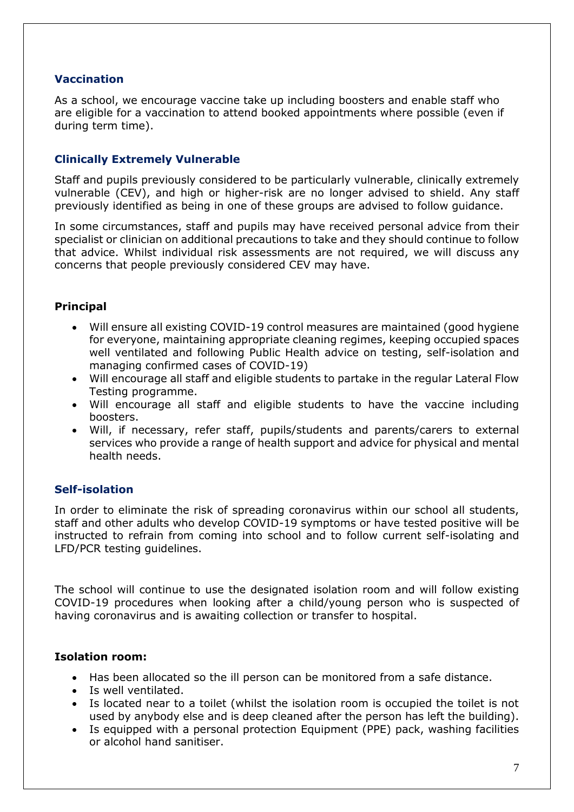## **Vaccination**

As a school, we encourage vaccine take up including boosters and enable staff who are eligible for a vaccination to attend booked appointments where possible (even if during term time).

## **Clinically Extremely Vulnerable**

Staff and pupils previously considered to be particularly vulnerable, clinically extremely vulnerable (CEV), and high or higher-risk are no longer advised to shield. Any staff previously identified as being in one of these groups are advised to follow guidance.

In some circumstances, staff and pupils may have received personal advice from their specialist or clinician on additional precautions to take and they should continue to follow that advice. Whilst individual risk assessments are not required, we will discuss any concerns that people previously considered CEV may have.

## **Principal**

- Will ensure all existing COVID-19 control measures are maintained (good hygiene for everyone, maintaining appropriate cleaning regimes, keeping occupied spaces well ventilated and following Public Health advice on testing, self-isolation and managing confirmed cases of COVID-19)
- Will encourage all staff and eligible students to partake in the regular Lateral Flow Testing programme.
- Will encourage all staff and eligible students to have the vaccine including boosters.
- Will, if necessary, refer staff, pupils/students and parents/carers to external services who provide a range of health support and advice for physical and mental health needs.

## **Self-isolation**

In order to eliminate the risk of spreading coronavirus within our school all students, staff and other adults who develop COVID-19 symptoms or have tested positive will be instructed to refrain from coming into school and to follow current self-isolating and LFD/PCR testing guidelines.

The school will continue to use the designated isolation room and will follow existing COVID-19 procedures when looking after a child/young person who is suspected of having coronavirus and is awaiting collection or transfer to hospital.

## **Isolation room:**

- Has been allocated so the ill person can be monitored from a safe distance.
- Is well ventilated.
- Is located near to a toilet (whilst the isolation room is occupied the toilet is not used by anybody else and is deep cleaned after the person has left the building).
- Is equipped with a personal protection Equipment (PPE) pack, washing facilities or alcohol hand sanitiser.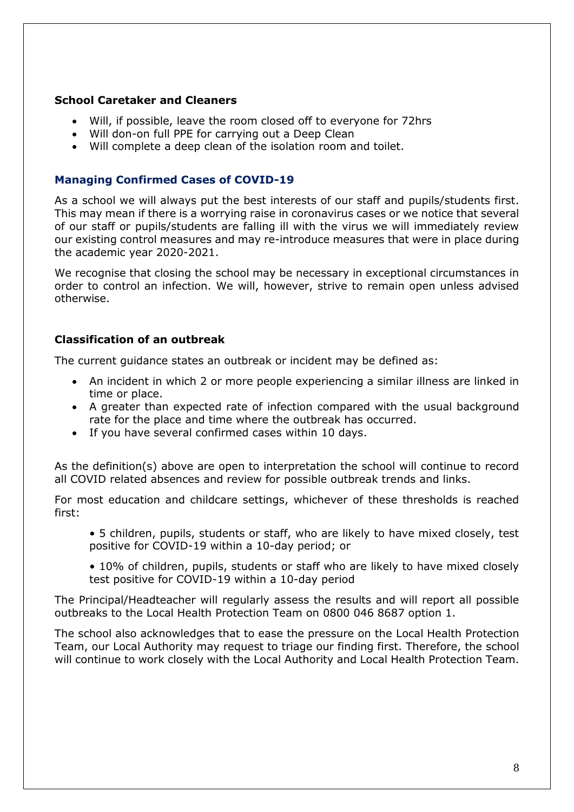## **School Caretaker and Cleaners**

- Will, if possible, leave the room closed off to everyone for 72hrs
- Will don-on full PPE for carrying out a Deep Clean
- Will complete a deep clean of the isolation room and toilet.

## **Managing Confirmed Cases of COVID-19**

As a school we will always put the best interests of our staff and pupils/students first. This may mean if there is a worrying raise in coronavirus cases or we notice that several of our staff or pupils/students are falling ill with the virus we will immediately review our existing control measures and may re-introduce measures that were in place during the academic year 2020-2021.

We recognise that closing the school may be necessary in exceptional circumstances in order to control an infection. We will, however, strive to remain open unless advised otherwise.

## **Classification of an outbreak**

The current guidance states an outbreak or incident may be defined as:

- An incident in which 2 or more people experiencing a similar illness are linked in time or place.
- A greater than expected rate of infection compared with the usual background rate for the place and time where the outbreak has occurred.
- If you have several confirmed cases within 10 days.

As the definition(s) above are open to interpretation the school will continue to record all COVID related absences and review for possible outbreak trends and links.

For most education and childcare settings, whichever of these thresholds is reached first:

- 5 children, pupils, students or staff, who are likely to have mixed closely, test positive for COVID-19 within a 10-day period; or
- 10% of children, pupils, students or staff who are likely to have mixed closely test positive for COVID-19 within a 10-day period

The Principal/Headteacher will regularly assess the results and will report all possible outbreaks to the Local Health Protection Team on 0800 046 8687 option 1.

The school also acknowledges that to ease the pressure on the Local Health Protection Team, our Local Authority may request to triage our finding first. Therefore, the school will continue to work closely with the Local Authority and Local Health Protection Team.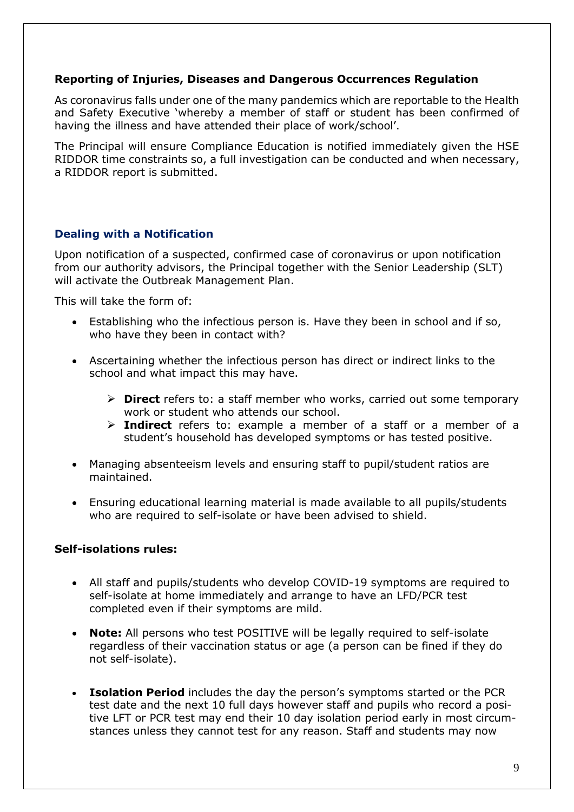## **Reporting of Injuries, Diseases and Dangerous Occurrences Regulation**

As coronavirus falls under one of the many pandemics which are reportable to the Health and Safety Executive 'whereby a member of staff or student has been confirmed of having the illness and have attended their place of work/school'.

The Principal will ensure Compliance Education is notified immediately given the HSE RIDDOR time constraints so, a full investigation can be conducted and when necessary, a RIDDOR report is submitted.

## **Dealing with a Notification**

Upon notification of a suspected, confirmed case of coronavirus or upon notification from our authority advisors, the Principal together with the Senior Leadership (SLT) will activate the Outbreak Management Plan.

This will take the form of:

- Establishing who the infectious person is. Have they been in school and if so, who have they been in contact with?
- Ascertaining whether the infectious person has direct or indirect links to the school and what impact this may have.
	- ➢ **Direct** refers to: a staff member who works, carried out some temporary work or student who attends our school.
	- ➢ **Indirect** refers to: example a member of a staff or a member of a student's household has developed symptoms or has tested positive.
- Managing absenteeism levels and ensuring staff to pupil/student ratios are maintained.
- Ensuring educational learning material is made available to all pupils/students who are required to self-isolate or have been advised to shield.

## **Self-isolations rules:**

- All staff and pupils/students who develop COVID-19 symptoms are required to self-isolate at home immediately and arrange to have an LFD/PCR test completed even if their symptoms are mild.
- **Note:** All persons who test POSITIVE will be legally required to self-isolate regardless of their vaccination status or age (a person can be fined if they do not self-isolate).
- **Isolation Period** includes the day the person's symptoms started or the PCR test date and the next 10 full days however staff and pupils who record a positive LFT or PCR test may end their 10 day isolation period early in most circumstances unless they cannot test for any reason. Staff and students may now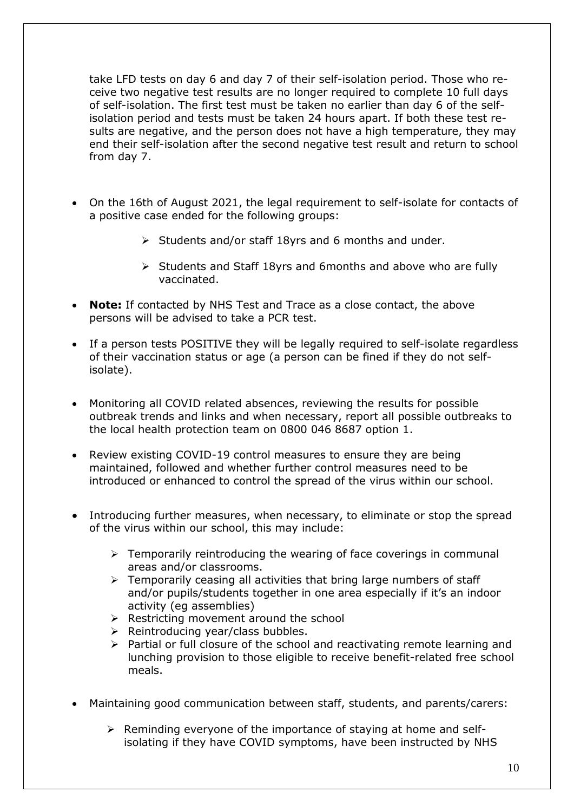take LFD tests on day 6 and day 7 of their self-isolation period. Those who receive two negative test results are no longer required to complete 10 full days of self-isolation. The first test must be taken no earlier than day 6 of the selfisolation period and tests must be taken 24 hours apart. If both these test results are negative, and the person does not have a high temperature, they may end their self-isolation after the second negative test result and return to school from day 7.

- On the 16th of August 2021, the legal requirement to self-isolate for contacts of a positive case ended for the following groups:
	- ➢ Students and/or staff 18yrs and 6 months and under.
	- ➢ Students and Staff 18yrs and 6months and above who are fully vaccinated.
- **Note:** If contacted by NHS Test and Trace as a close contact, the above persons will be advised to take a PCR test.
- If a person tests POSITIVE they will be legally required to self-isolate regardless of their vaccination status or age (a person can be fined if they do not selfisolate).
- Monitoring all COVID related absences, reviewing the results for possible outbreak trends and links and when necessary, report all possible outbreaks to the local health protection team on 0800 046 8687 option 1.
- Review existing COVID-19 control measures to ensure they are being maintained, followed and whether further control measures need to be introduced or enhanced to control the spread of the virus within our school.
- Introducing further measures, when necessary, to eliminate or stop the spread of the virus within our school, this may include:
	- $\triangleright$  Temporarily reintroducing the wearing of face coverings in communal areas and/or classrooms.
	- $\triangleright$  Temporarily ceasing all activities that bring large numbers of staff and/or pupils/students together in one area especially if it's an indoor activity (eg assemblies)
	- ➢ Restricting movement around the school
	- ➢ Reintroducing year/class bubbles.
	- ➢ Partial or full closure of the school and reactivating remote learning and lunching provision to those eligible to receive benefit-related free school meals.
- Maintaining good communication between staff, students, and parents/carers:
	- ➢ Reminding everyone of the importance of staying at home and selfisolating if they have COVID symptoms, have been instructed by NHS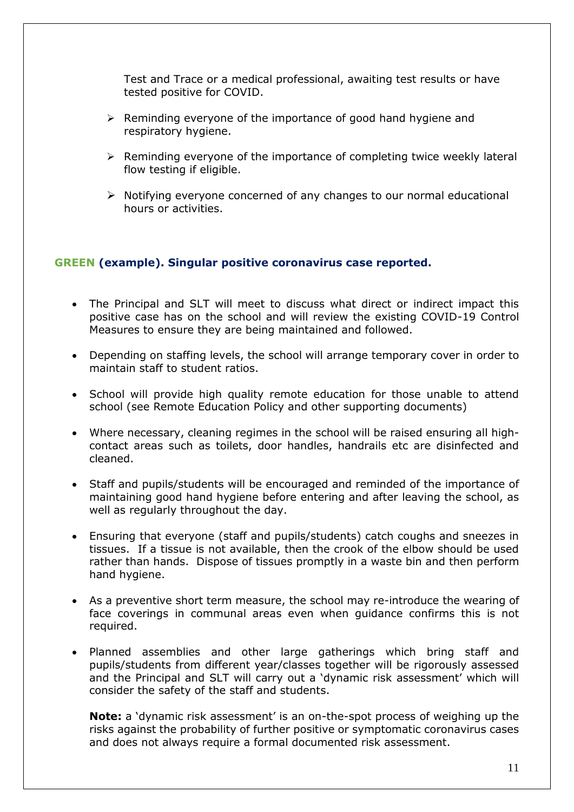Test and Trace or a medical professional, awaiting test results or have tested positive for COVID.

- $\triangleright$  Reminding everyone of the importance of good hand hygiene and respiratory hygiene.
- $\triangleright$  Reminding everyone of the importance of completing twice weekly lateral flow testing if eligible.
- ➢ Notifying everyone concerned of any changes to our normal educational hours or activities.

## **GREEN (example). Singular positive coronavirus case reported.**

- The Principal and SLT will meet to discuss what direct or indirect impact this positive case has on the school and will review the existing COVID-19 Control Measures to ensure they are being maintained and followed.
- Depending on staffing levels, the school will arrange temporary cover in order to maintain staff to student ratios.
- School will provide high quality remote education for those unable to attend school (see Remote Education Policy and other supporting documents)
- Where necessary, cleaning regimes in the school will be raised ensuring all highcontact areas such as toilets, door handles, handrails etc are disinfected and cleaned.
- Staff and pupils/students will be encouraged and reminded of the importance of maintaining good hand hygiene before entering and after leaving the school, as well as regularly throughout the day.
- Ensuring that everyone (staff and pupils/students) catch coughs and sneezes in tissues. If a tissue is not available, then the crook of the elbow should be used rather than hands. Dispose of tissues promptly in a waste bin and then perform hand hygiene.
- As a preventive short term measure, the school may re-introduce the wearing of face coverings in communal areas even when guidance confirms this is not required.
- Planned assemblies and other large gatherings which bring staff and pupils/students from different year/classes together will be rigorously assessed and the Principal and SLT will carry out a 'dynamic risk assessment' which will consider the safety of the staff and students.

**Note:** a 'dynamic risk assessment' is an on-the-spot process of weighing up the risks against the probability of further positive or symptomatic coronavirus cases and does not always require a formal documented risk assessment.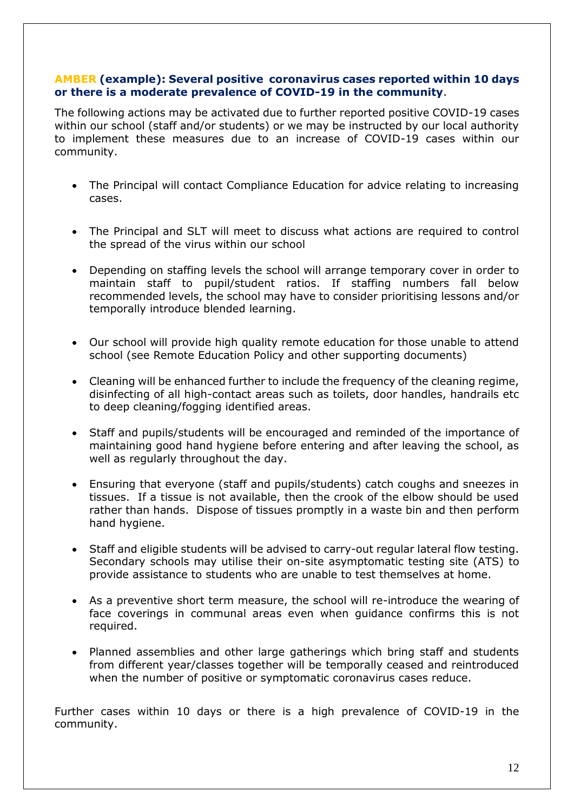#### **AMBER (example): Several positive coronavirus cases reported within 10 days or there is a moderate prevalence of COVID-19 in the community**.

The following actions may be activated due to further reported positive COVID-19 cases within our school (staff and/or students) or we may be instructed by our local authority to implement these measures due to an increase of COVID-19 cases within our community.

- The Principal will contact Compliance Education for advice relating to increasing cases.
- The Principal and SLT will meet to discuss what actions are required to control the spread of the virus within our school
- Depending on staffing levels the school will arrange temporary cover in order to maintain staff to pupil/student ratios. If staffing numbers fall below recommended levels, the school may have to consider prioritising lessons and/or temporally introduce blended learning.
- Our school will provide high quality remote education for those unable to attend school (see Remote Education Policy and other supporting documents)
- Cleaning will be enhanced further to include the frequency of the cleaning regime, disinfecting of all high-contact areas such as toilets, door handles, handrails etc to deep cleaning/fogging identified areas.
- Staff and pupils/students will be encouraged and reminded of the importance of maintaining good hand hygiene before entering and after leaving the school, as well as regularly throughout the day.
- Ensuring that everyone (staff and pupils/students) catch coughs and sneezes in tissues. If a tissue is not available, then the crook of the elbow should be used rather than hands. Dispose of tissues promptly in a waste bin and then perform hand hygiene.
- Staff and eligible students will be advised to carry-out regular lateral flow testing. Secondary schools may utilise their on-site asymptomatic testing site (ATS) to provide assistance to students who are unable to test themselves at home.
- As a preventive short term measure, the school will re-introduce the wearing of face coverings in communal areas even when guidance confirms this is not required.
- Planned assemblies and other large gatherings which bring staff and students from different year/classes together will be temporally ceased and reintroduced when the number of positive or symptomatic coronavirus cases reduce.

Further cases within 10 days or there is a high prevalence of COVID-19 in the community.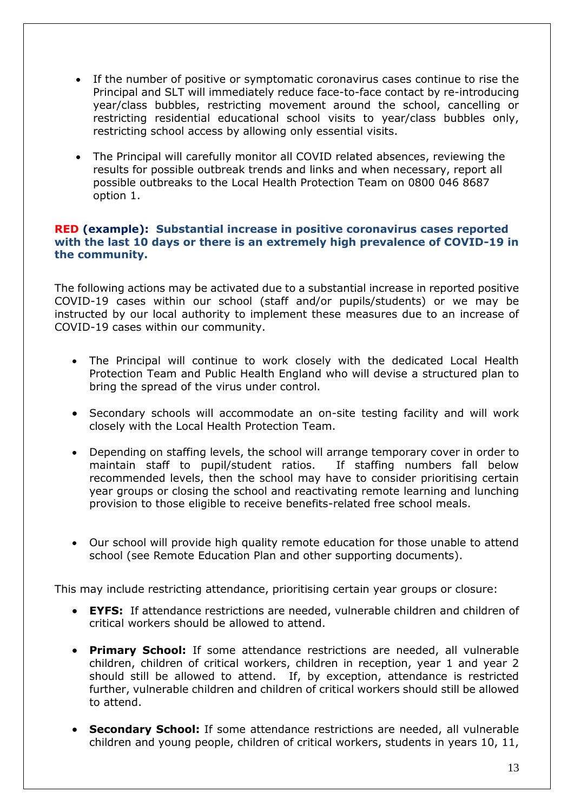- If the number of positive or symptomatic coronavirus cases continue to rise the Principal and SLT will immediately reduce face-to-face contact by re-introducing year/class bubbles, restricting movement around the school, cancelling or restricting residential educational school visits to year/class bubbles only, restricting school access by allowing only essential visits.
- The Principal will carefully monitor all COVID related absences, reviewing the results for possible outbreak trends and links and when necessary, report all possible outbreaks to the Local Health Protection Team on 0800 046 8687 option 1.

## **RED (example): Substantial increase in positive coronavirus cases reported with the last 10 days or there is an extremely high prevalence of COVID-19 in the community.**

The following actions may be activated due to a substantial increase in reported positive COVID-19 cases within our school (staff and/or pupils/students) or we may be instructed by our local authority to implement these measures due to an increase of COVID-19 cases within our community.

- The Principal will continue to work closely with the dedicated Local Health Protection Team and Public Health England who will devise a structured plan to bring the spread of the virus under control.
- Secondary schools will accommodate an on-site testing facility and will work closely with the Local Health Protection Team.
- Depending on staffing levels, the school will arrange temporary cover in order to maintain staff to pupil/student ratios. If staffing numbers fall below recommended levels, then the school may have to consider prioritising certain year groups or closing the school and reactivating remote learning and lunching provision to those eligible to receive benefits-related free school meals.
- Our school will provide high quality remote education for those unable to attend school (see Remote Education Plan and other supporting documents).

This may include restricting attendance, prioritising certain year groups or closure:

- **EYFS:** If attendance restrictions are needed, vulnerable children and children of critical workers should be allowed to attend.
- **Primary School:** If some attendance restrictions are needed, all vulnerable children, children of critical workers, children in reception, year 1 and year 2 should still be allowed to attend. If, by exception, attendance is restricted further, vulnerable children and children of critical workers should still be allowed to attend.
- **Secondary School:** If some attendance restrictions are needed, all vulnerable children and young people, children of critical workers, students in years 10, 11,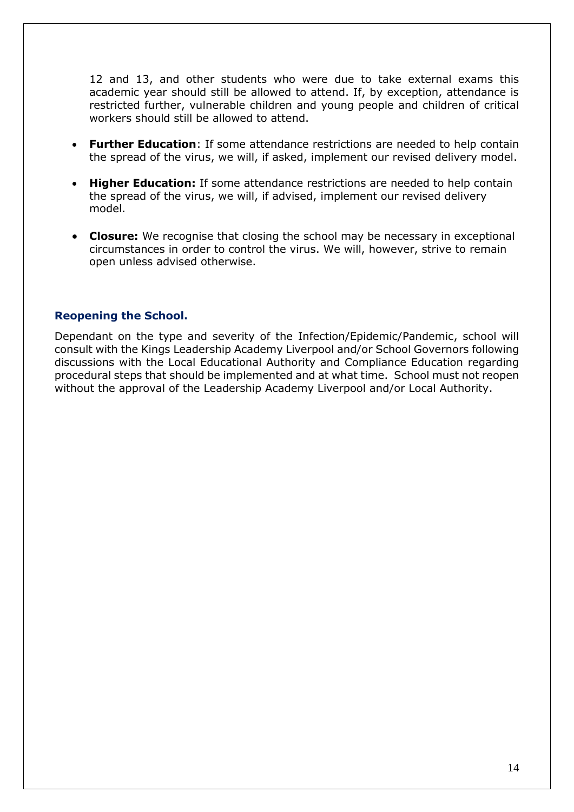12 and 13, and other students who were due to take external exams this academic year should still be allowed to attend. If, by exception, attendance is restricted further, vulnerable children and young people and children of critical workers should still be allowed to attend.

- **Further Education**: If some attendance restrictions are needed to help contain the spread of the virus, we will, if asked, implement our revised delivery model.
- **Higher Education:** If some attendance restrictions are needed to help contain the spread of the virus, we will, if advised, implement our revised delivery model.
- **Closure:** We recognise that closing the school may be necessary in exceptional circumstances in order to control the virus. We will, however, strive to remain open unless advised otherwise.

## **Reopening the School.**

Dependant on the type and severity of the Infection/Epidemic/Pandemic, school will consult with the Kings Leadership Academy Liverpool and/or School Governors following discussions with the Local Educational Authority and Compliance Education regarding procedural steps that should be implemented and at what time. School must not reopen without the approval of the Leadership Academy Liverpool and/or Local Authority.